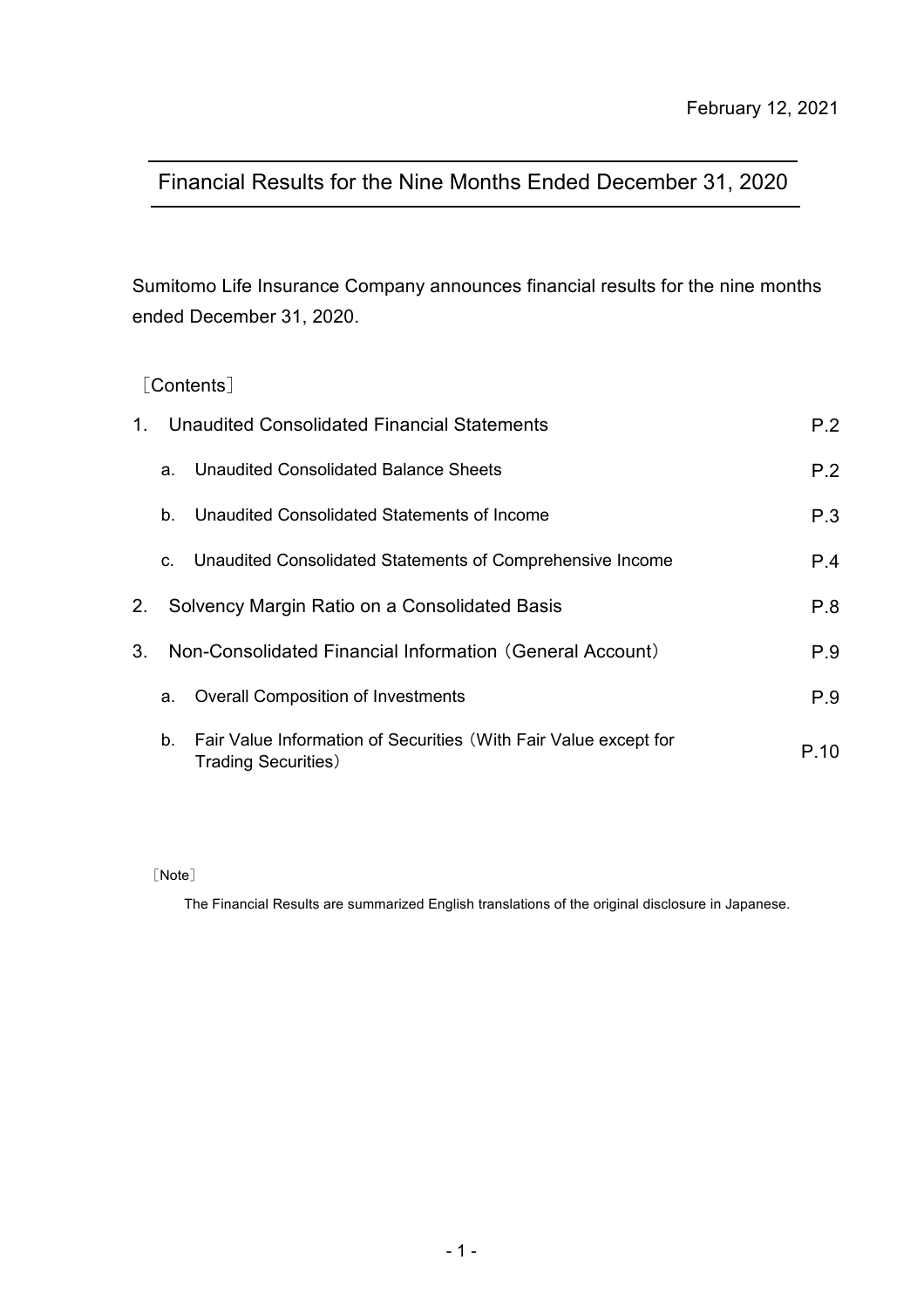# Financial Results for the Nine Months Ended December 31, 2020

Sumitomo Life Insurance Company announces financial results for the nine months ended December 31, 2020.

## [Contents]

| $1_{-}$ |                                                          | Unaudited Consolidated Financial Statements                                                     | P.2  |
|---------|----------------------------------------------------------|-------------------------------------------------------------------------------------------------|------|
|         | a.                                                       | Unaudited Consolidated Balance Sheets                                                           | P.2  |
|         | b.                                                       | Unaudited Consolidated Statements of Income                                                     | P.3  |
|         | C.                                                       | Unaudited Consolidated Statements of Comprehensive Income                                       | P.4  |
| 2.      |                                                          | Solvency Margin Ratio on a Consolidated Basis                                                   | P.8  |
| $3_{-}$ | Non-Consolidated Financial Information (General Account) | P.9                                                                                             |      |
|         | a.                                                       | P.9                                                                                             |      |
|         | b.                                                       | Fair Value Information of Securities (With Fair Value except for<br><b>Trading Securities</b> ) | P 10 |

[Note]

The Financial Results are summarized English translations of the original disclosure in Japanese.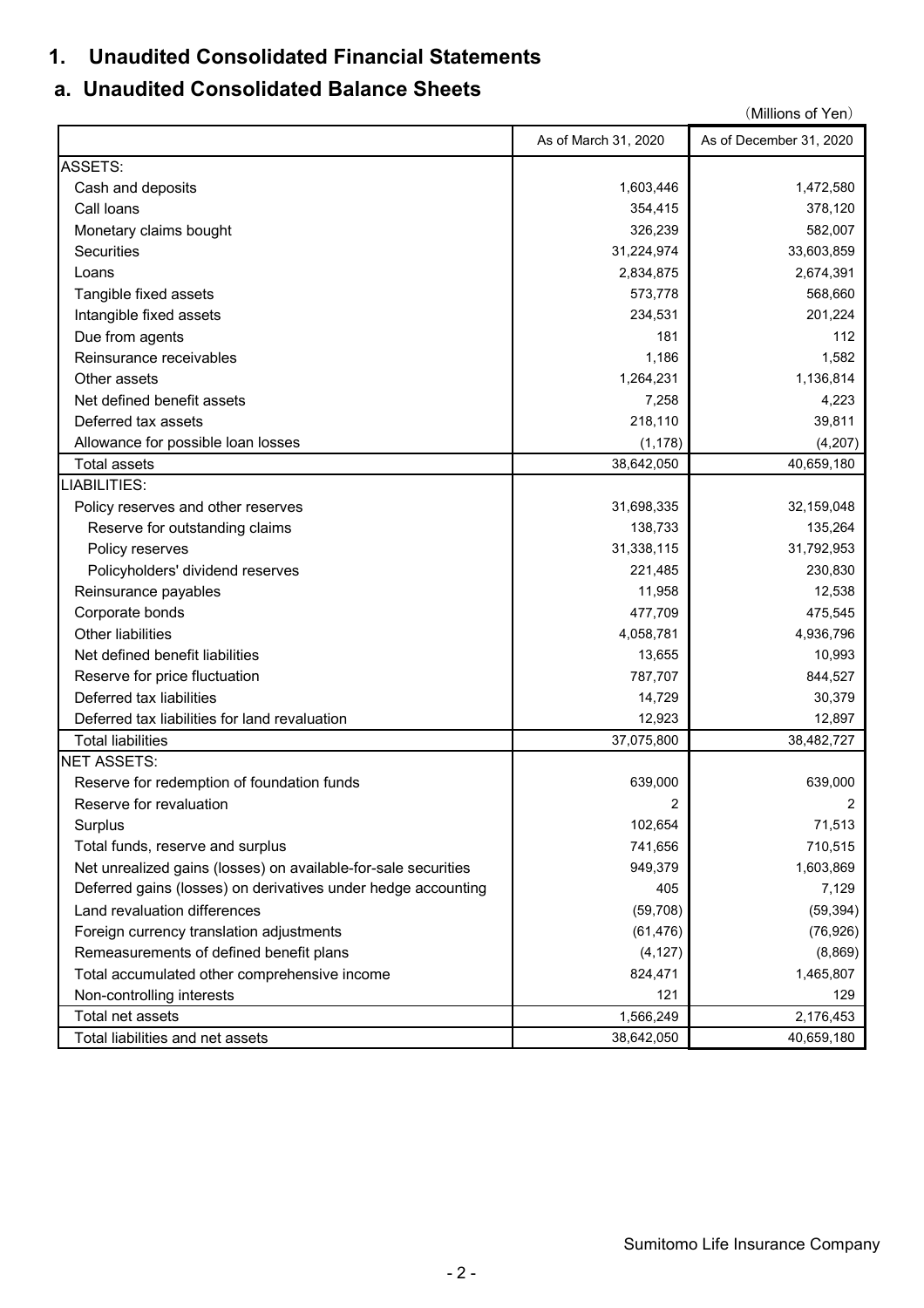# **1. Unaudited Consolidated Financial Statements**

# **a. Unaudited Consolidated Balance Sheets**

|                                                                |                      | (Millions of Yen)       |
|----------------------------------------------------------------|----------------------|-------------------------|
|                                                                | As of March 31, 2020 | As of December 31, 2020 |
| <b>ASSETS:</b>                                                 |                      |                         |
| Cash and deposits                                              | 1,603,446            | 1,472,580               |
| Call loans                                                     | 354,415              | 378,120                 |
| Monetary claims bought                                         | 326,239              | 582,007                 |
| Securities                                                     | 31,224,974           | 33,603,859              |
| Loans                                                          | 2,834,875            | 2,674,391               |
| Tangible fixed assets                                          | 573,778              | 568,660                 |
| Intangible fixed assets                                        | 234,531              | 201,224                 |
| Due from agents                                                | 181                  | 112                     |
| Reinsurance receivables                                        | 1,186                | 1,582                   |
| Other assets                                                   | 1,264,231            | 1,136,814               |
| Net defined benefit assets                                     | 7,258                | 4,223                   |
| Deferred tax assets                                            | 218,110              | 39,811                  |
| Allowance for possible loan losses                             | (1, 178)             | (4,207)                 |
| <b>Total assets</b>                                            | 38,642,050           | 40,659,180              |
| <b>LIABILITIES:</b>                                            |                      |                         |
| Policy reserves and other reserves                             | 31,698,335           | 32,159,048              |
| Reserve for outstanding claims                                 | 138,733              | 135,264                 |
| Policy reserves                                                | 31,338,115           | 31,792,953              |
| Policyholders' dividend reserves                               | 221,485              | 230,830                 |
| Reinsurance payables                                           | 11,958               | 12,538                  |
| Corporate bonds                                                | 477,709              | 475,545                 |
| <b>Other liabilities</b>                                       | 4,058,781            | 4,936,796               |
| Net defined benefit liabilities                                | 13,655               | 10,993                  |
| Reserve for price fluctuation                                  | 787,707              | 844,527                 |
| Deferred tax liabilities                                       | 14,729               | 30,379                  |
| Deferred tax liabilities for land revaluation                  | 12,923               | 12,897                  |
| <b>Total liabilities</b>                                       | 37,075,800           | 38,482,727              |
| <b>NET ASSETS:</b>                                             |                      |                         |
| Reserve for redemption of foundation funds                     | 639,000              | 639,000                 |
| Reserve for revaluation                                        | 2                    | $\overline{2}$          |
| Surplus                                                        | 102,654              | 71,513                  |
| Total funds, reserve and surplus                               | 741,656              | 710,515                 |
| Net unrealized gains (losses) on available-for-sale securities | 949,379              | 1,603,869               |
| Deferred gains (losses) on derivatives under hedge accounting  | 405                  | 7,129                   |
| Land revaluation differences                                   | (59, 708)            | (59, 394)               |
| Foreign currency translation adjustments                       | (61, 476)            | (76, 926)               |
| Remeasurements of defined benefit plans                        | (4, 127)             | (8,869)                 |
| Total accumulated other comprehensive income                   | 824,471              | 1,465,807               |
| Non-controlling interests                                      | 121                  | 129                     |
| Total net assets                                               | 1,566,249            | 2,176,453               |
| Total liabilities and net assets                               | 38,642,050           | 40,659,180              |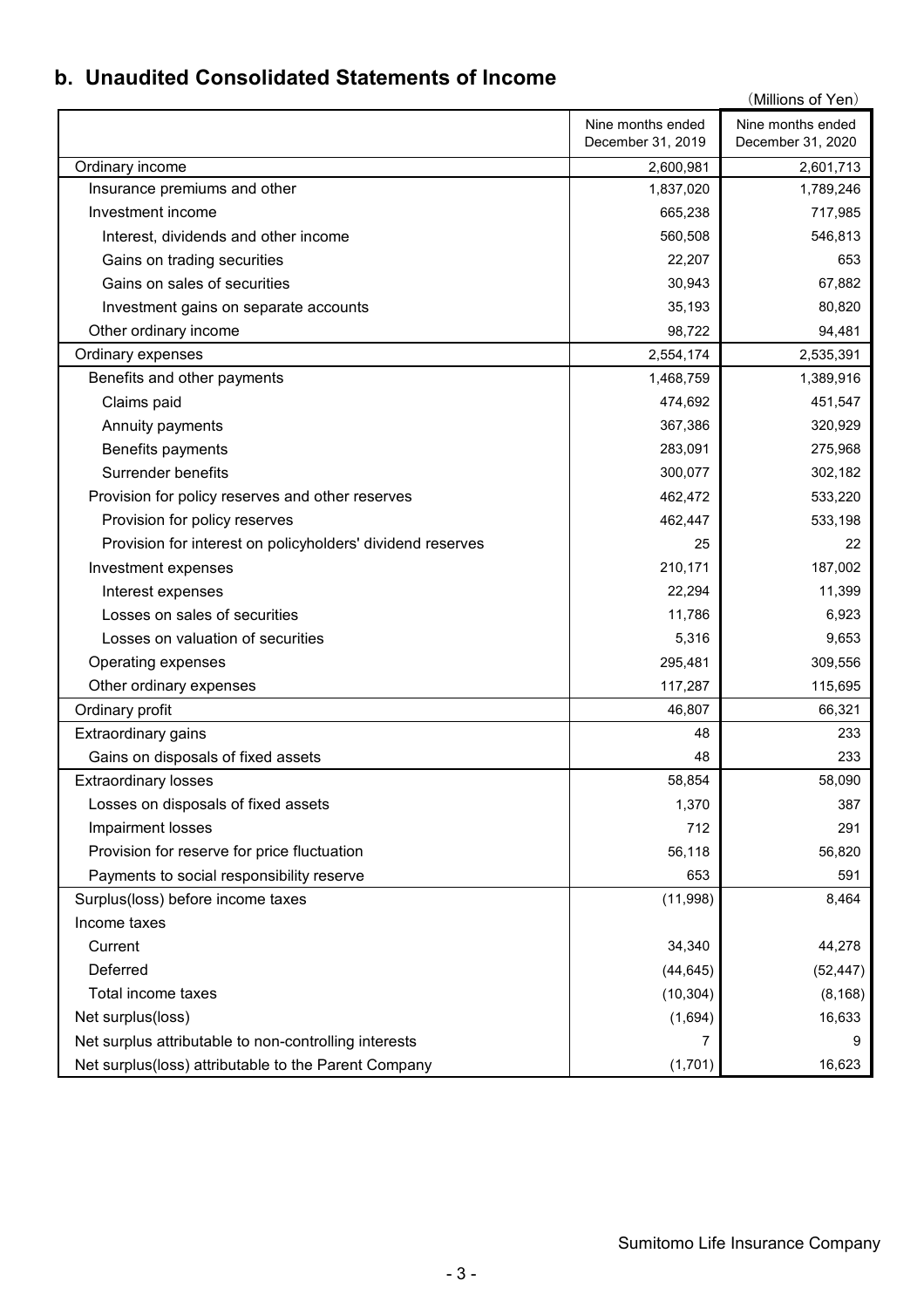# **b. Unaudited Consolidated Statements of Income**

|                                                            |                   | (Millions of Yen) |
|------------------------------------------------------------|-------------------|-------------------|
|                                                            | Nine months ended | Nine months ended |
|                                                            | December 31, 2019 | December 31, 2020 |
| Ordinary income                                            | 2,600,981         | 2,601,713         |
| Insurance premiums and other                               | 1,837,020         | 1,789,246         |
| Investment income                                          | 665,238           | 717,985           |
| Interest, dividends and other income                       | 560,508           | 546,813           |
| Gains on trading securities                                | 22,207            | 653               |
| Gains on sales of securities                               | 30,943            | 67,882            |
| Investment gains on separate accounts                      | 35,193            | 80,820            |
| Other ordinary income                                      | 98,722            | 94,481            |
| Ordinary expenses                                          | 2,554,174         | 2,535,391         |
| Benefits and other payments                                | 1,468,759         | 1,389,916         |
| Claims paid                                                | 474,692           | 451,547           |
| Annuity payments                                           | 367,386           | 320,929           |
| Benefits payments                                          | 283,091           | 275,968           |
| Surrender benefits                                         | 300,077           | 302,182           |
| Provision for policy reserves and other reserves           | 462,472           | 533,220           |
| Provision for policy reserves                              | 462,447           | 533,198           |
| Provision for interest on policyholders' dividend reserves | 25                | 22                |
| Investment expenses                                        | 210,171           | 187,002           |
| Interest expenses                                          | 22,294            | 11,399            |
| Losses on sales of securities                              | 11,786            | 6,923             |
| Losses on valuation of securities                          | 5,316             | 9,653             |
| Operating expenses                                         | 295,481           | 309,556           |
| Other ordinary expenses                                    | 117,287           | 115,695           |
| Ordinary profit                                            | 46,807            | 66,321            |
| Extraordinary gains                                        | 48                | 233               |
| Gains on disposals of fixed assets                         | 48                | 233               |
| <b>Extraordinary losses</b>                                | 58,854            | 58,090            |
| Losses on disposals of fixed assets                        | 1,370             | 387               |
| Impairment losses                                          | 712               | 291               |
| Provision for reserve for price fluctuation                | 56,118            | 56,820            |
| Payments to social responsibility reserve                  | 653               | 591               |
| Surplus(loss) before income taxes                          | (11,998)          | 8,464             |
| Income taxes                                               |                   |                   |
| Current                                                    | 34,340            | 44,278            |
| Deferred                                                   | (44, 645)         | (52, 447)         |
| Total income taxes                                         | (10, 304)         | (8, 168)          |
| Net surplus(loss)                                          | (1,694)           | 16,633            |
| Net surplus attributable to non-controlling interests      | 7                 |                   |
| Net surplus(loss) attributable to the Parent Company       | (1,701)           | 16,623            |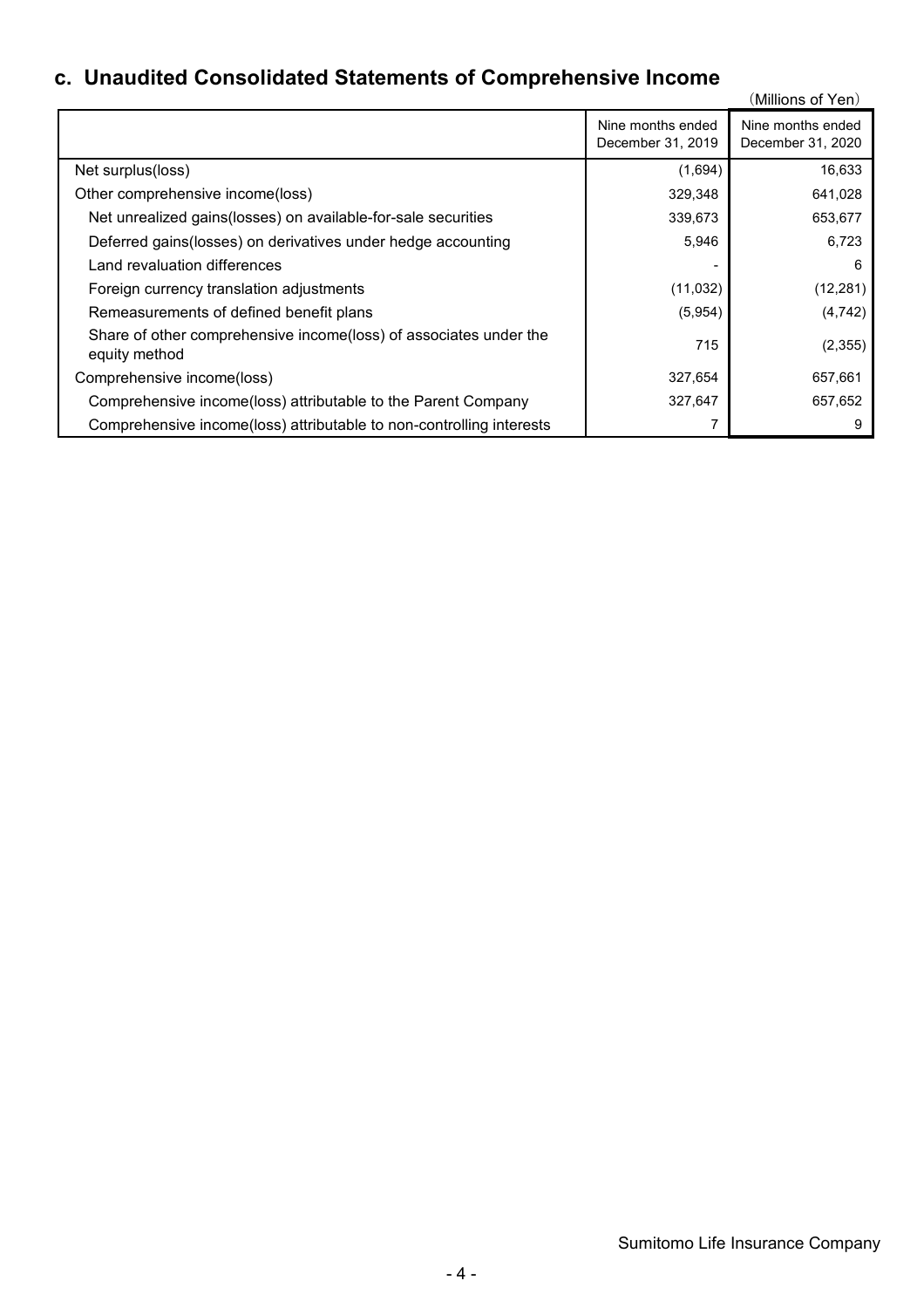# **c. Unaudited Consolidated Statements of Comprehensive Income**

| <u>UNUSING OUR CONTRACTOR ORIGINAL OF OUR PRINCIPLE IN ANTIQUE OF THE PRINCIPLE OF THE PRINCIPLE OF THE PRINCIPLE </u> |                                        | (Millions of Yen)                      |
|------------------------------------------------------------------------------------------------------------------------|----------------------------------------|----------------------------------------|
|                                                                                                                        | Nine months ended<br>December 31, 2019 | Nine months ended<br>December 31, 2020 |
| Net surplus(loss)                                                                                                      | (1,694)                                | 16,633                                 |
| Other comprehensive income(loss)                                                                                       | 329,348                                | 641,028                                |
| Net unrealized gains (losses) on available-for-sale securities                                                         | 339,673                                | 653,677                                |
| Deferred gains (losses) on derivatives under hedge accounting                                                          | 5,946                                  | 6,723                                  |
| Land revaluation differences                                                                                           |                                        | 6                                      |
| Foreign currency translation adjustments                                                                               | (11, 032)                              | (12, 281)                              |
| Remeasurements of defined benefit plans                                                                                | (5,954)                                | (4, 742)                               |
| Share of other comprehensive income(loss) of associates under the<br>equity method                                     | 715                                    | (2, 355)                               |
| Comprehensive income(loss)                                                                                             | 327,654                                | 657,661                                |
| Comprehensive income(loss) attributable to the Parent Company                                                          | 327,647                                | 657,652                                |
| Comprehensive income(loss) attributable to non-controlling interests                                                   | 7                                      | 9                                      |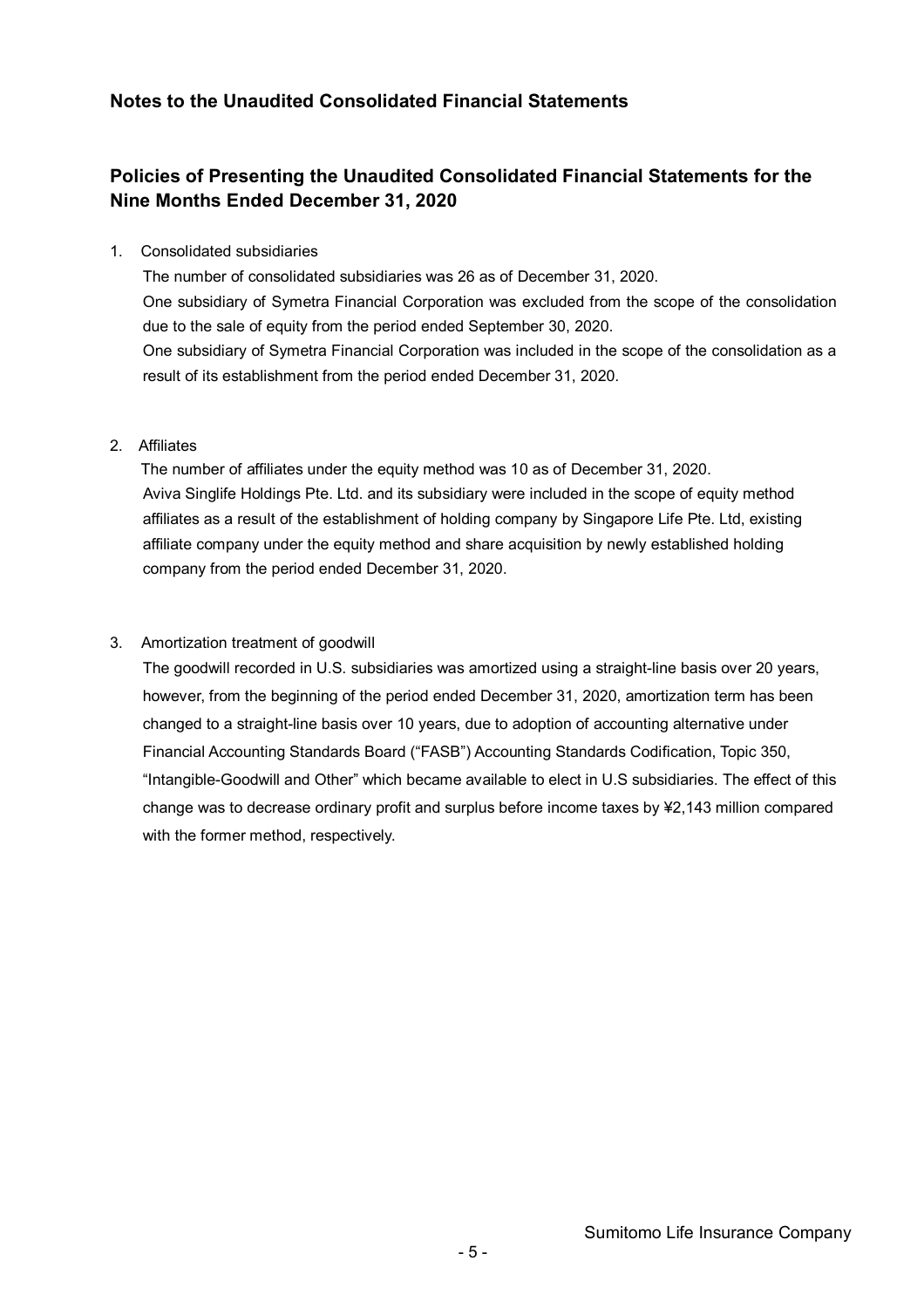## **Notes to the Unaudited Consolidated Financial Statements**

## **Policies of Presenting the Unaudited Consolidated Financial Statements for the Nine Months Ended December 31, 2020**

#### 1. Consolidated subsidiaries

The number of consolidated subsidiaries was 26 as of December 31, 2020. One subsidiary of Symetra Financial Corporation was excluded from the scope of the consolidation due to the sale of equity from the period ended September 30, 2020. One subsidiary of Symetra Financial Corporation was included in the scope of the consolidation as a result of its establishment from the period ended December 31, 2020.

#### 2. Affiliates

The number of affiliates under the equity method was 10 as of December 31, 2020. Aviva Singlife Holdings Pte. Ltd. and its subsidiary were included in the scope of equity method affiliates as a result of the establishment of holding company by Singapore Life Pte. Ltd, existing affiliate company under the equity method and share acquisition by newly established holding company from the period ended December 31, 2020.

#### 3. Amortization treatment of goodwill

The goodwill recorded in U.S. subsidiaries was amortized using a straight-line basis over 20 years, however, from the beginning of the period ended December 31, 2020, amortization term has been changed to a straight-line basis over 10 years, due to adoption of accounting alternative under Financial Accounting Standards Board ("FASB") Accounting Standards Codification, Topic 350, "Intangible-Goodwill and Other" which became available to elect in U.S subsidiaries. The effect of this change was to decrease ordinary profit and surplus before income taxes by ¥2,143 million compared with the former method, respectively.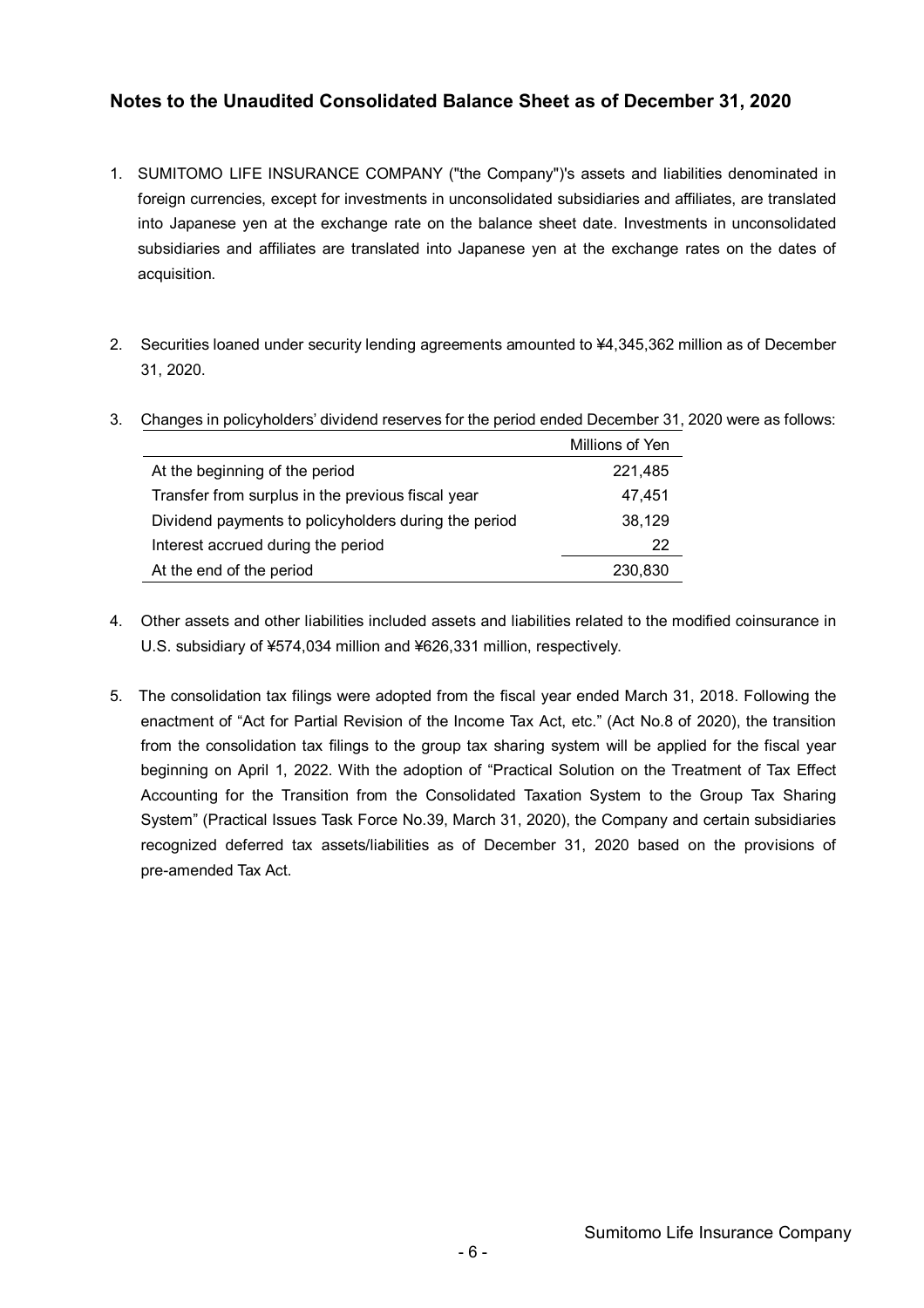## **Notes to the Unaudited Consolidated Balance Sheet as of December 31, 2020**

- 1. SUMITOMO LIFE INSURANCE COMPANY ("the Company")'s assets and liabilities denominated in foreign currencies, except for investments in unconsolidated subsidiaries and affiliates, are translated into Japanese yen at the exchange rate on the balance sheet date. Investments in unconsolidated subsidiaries and affiliates are translated into Japanese yen at the exchange rates on the dates of acquisition.
- 2. Securities loaned under security lending agreements amounted to ¥4,345,362 million as of December 31, 2020.
- 3. Changes in policyholders' dividend reserves for the period ended December 31, 2020 were as follows:

|                                                      | Millions of Yen |
|------------------------------------------------------|-----------------|
| At the beginning of the period                       | 221,485         |
| Transfer from surplus in the previous fiscal year    | 47,451          |
| Dividend payments to policyholders during the period | 38,129          |
| Interest accrued during the period                   | 22              |
| At the end of the period                             | 230,830         |

- 4. Other assets and other liabilities included assets and liabilities related to the modified coinsurance in U.S. subsidiary of ¥574,034 million and ¥626,331 million, respectively.
- 5. The consolidation tax filings were adopted from the fiscal year ended March 31, 2018. Following the enactment of "Act for Partial Revision of the Income Tax Act, etc." (Act No.8 of 2020), the transition from the consolidation tax filings to the group tax sharing system will be applied for the fiscal year beginning on April 1, 2022. With the adoption of "Practical Solution on the Treatment of Tax Effect Accounting for the Transition from the Consolidated Taxation System to the Group Tax Sharing System" (Practical Issues Task Force No.39, March 31, 2020), the Company and certain subsidiaries recognized deferred tax assets/liabilities as of December 31, 2020 based on the provisions of pre-amended Tax Act.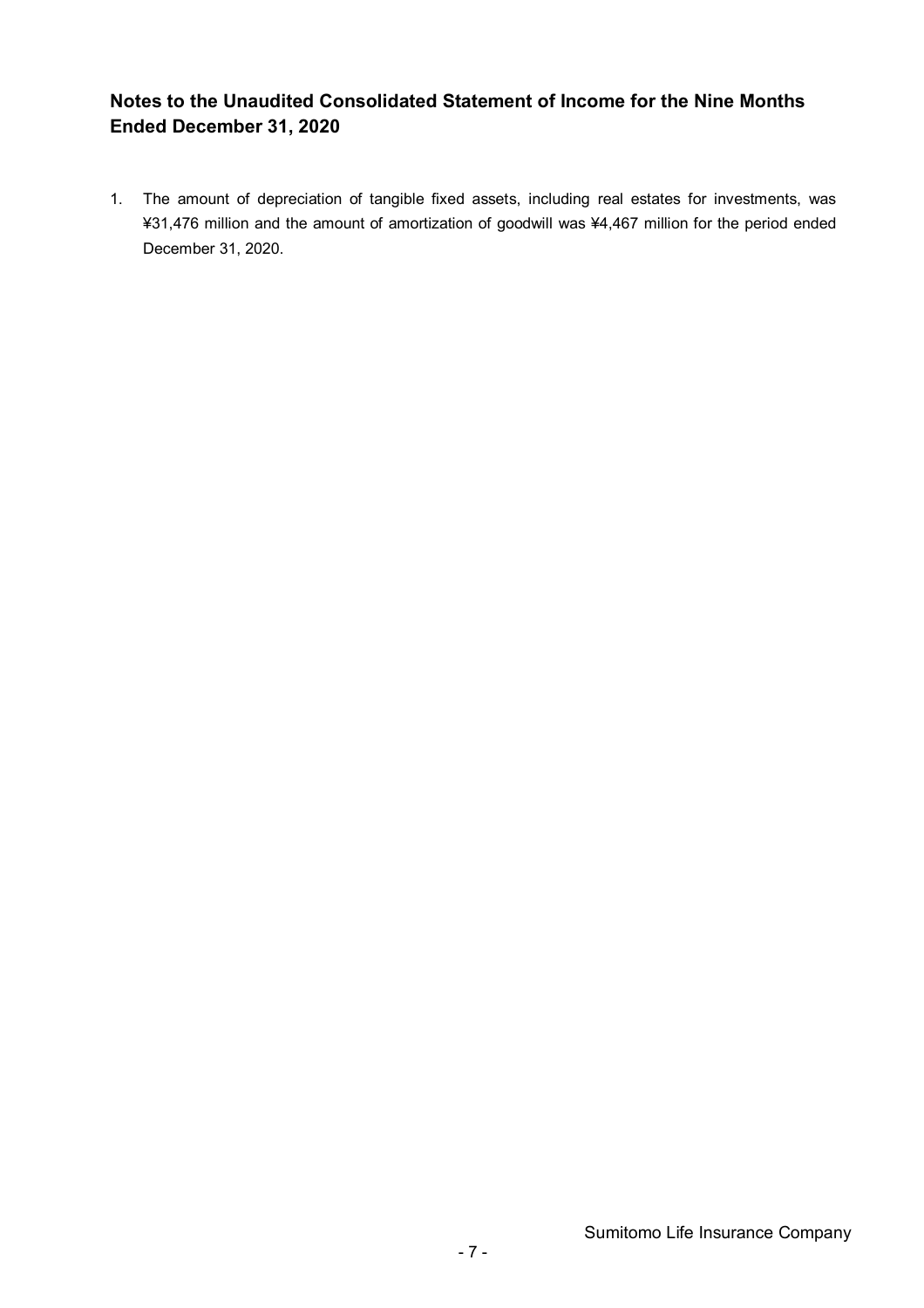## **Notes to the Unaudited Consolidated Statement of Income for the Nine Months Ended December 31, 2020**

1. The amount of depreciation of tangible fixed assets, including real estates for investments, was ¥31,476 million and the amount of amortization of goodwill was ¥4,467 million for the period ended December 31, 2020.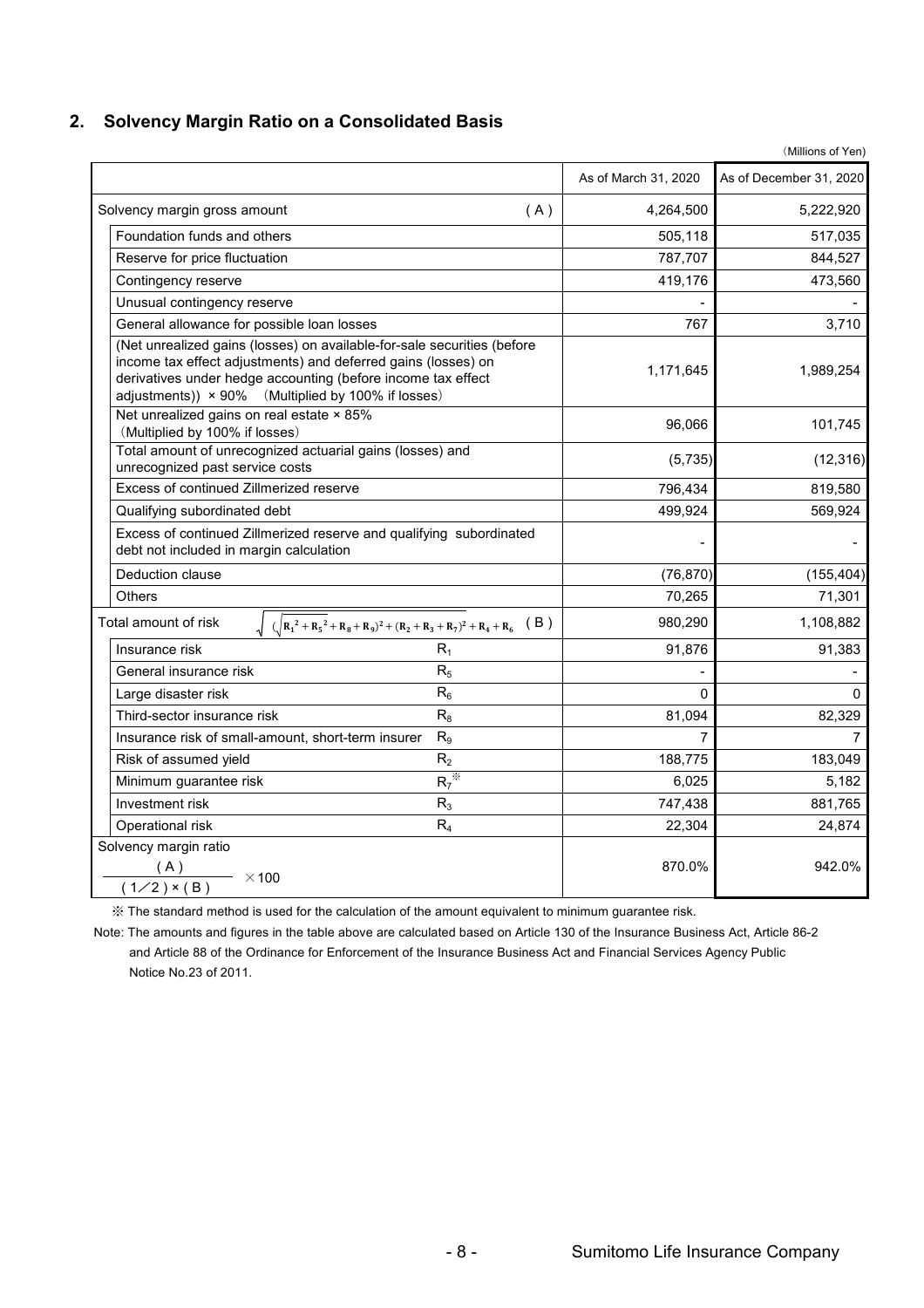### **2. Solvency Margin Ratio on a Consolidated Basis**

|                                                                                                                                                                                                                                                                            | As of March 31, 2020 | As of December 31, 2020 |
|----------------------------------------------------------------------------------------------------------------------------------------------------------------------------------------------------------------------------------------------------------------------------|----------------------|-------------------------|
| (A)<br>Solvency margin gross amount                                                                                                                                                                                                                                        | 4,264,500            | 5,222,920               |
| Foundation funds and others                                                                                                                                                                                                                                                | 505,118              | 517,035                 |
| Reserve for price fluctuation                                                                                                                                                                                                                                              | 787,707              | 844,527                 |
| Contingency reserve                                                                                                                                                                                                                                                        | 419,176              | 473,560                 |
| Unusual contingency reserve                                                                                                                                                                                                                                                |                      |                         |
| General allowance for possible loan losses                                                                                                                                                                                                                                 | 767                  | 3,710                   |
| (Net unrealized gains (losses) on available-for-sale securities (before<br>income tax effect adjustments) and deferred gains (losses) on<br>derivatives under hedge accounting (before income tax effect<br>(Multiplied by 100% if losses)<br>adjustments) $) \times 90\%$ | 1,171,645            | 1,989,254               |
| Net unrealized gains on real estate × 85%<br>(Multiplied by 100% if losses)                                                                                                                                                                                                | 96,066               | 101,745                 |
| Total amount of unrecognized actuarial gains (losses) and<br>unrecognized past service costs                                                                                                                                                                               | (5,735)              | (12, 316)               |
| Excess of continued Zillmerized reserve                                                                                                                                                                                                                                    | 796,434              | 819,580                 |
| Qualifying subordinated debt                                                                                                                                                                                                                                               | 499,924              | 569,924                 |
| Excess of continued Zillmerized reserve and qualifying subordinated<br>debt not included in margin calculation                                                                                                                                                             |                      |                         |
| Deduction clause                                                                                                                                                                                                                                                           | (76, 870)            | (155, 404)              |
| <b>Others</b>                                                                                                                                                                                                                                                              | 70,265               | 71,301                  |
| $\sqrt{(R_1^2 + R_5^2 + R_8 + R_9)^2 + (R_2 + R_3 + R_7)^2 + R_4 + R_6}$ (B)<br>Total amount of risk                                                                                                                                                                       | 980,290              | 1,108,882               |
| Insurance risk<br>$R_1$                                                                                                                                                                                                                                                    | 91,876               | 91,383                  |
| R <sub>5</sub><br>General insurance risk                                                                                                                                                                                                                                   |                      |                         |
| $R_6$<br>Large disaster risk                                                                                                                                                                                                                                               | 0                    | $\Omega$                |
| $R_8$<br>Third-sector insurance risk                                                                                                                                                                                                                                       | 81,094               | 82,329                  |
| $R_{9}$<br>Insurance risk of small-amount, short-term insurer                                                                                                                                                                                                              | 7                    | 7                       |
| R <sub>2</sub><br>Risk of assumed yield                                                                                                                                                                                                                                    | 188,775              | 183,049                 |
| $R_7^*$<br>Minimum guarantee risk                                                                                                                                                                                                                                          | 6,025                | 5,182                   |
| Investment risk<br>$R_3$                                                                                                                                                                                                                                                   | 747,438              | 881,765                 |
| $R_4$<br>Operational risk                                                                                                                                                                                                                                                  | 22,304               | 24,874                  |
| Solvency margin ratio<br>$\frac{(A)}{(1/2) \times (B)}$ × 100                                                                                                                                                                                                              | 870.0%               | 942.0%                  |
|                                                                                                                                                                                                                                                                            |                      |                         |

※ The standard method is used for the calculation of the amount equivalent to minimum guarantee risk.

Note: The amounts and figures in the table above are calculated based on Article 130 of the Insurance Business Act, Article 86-2 and Article 88 of the Ordinance for Enforcement of the Insurance Business Act and Financial Services Agency Public Notice No.23 of 2011.

(Millions of Yen)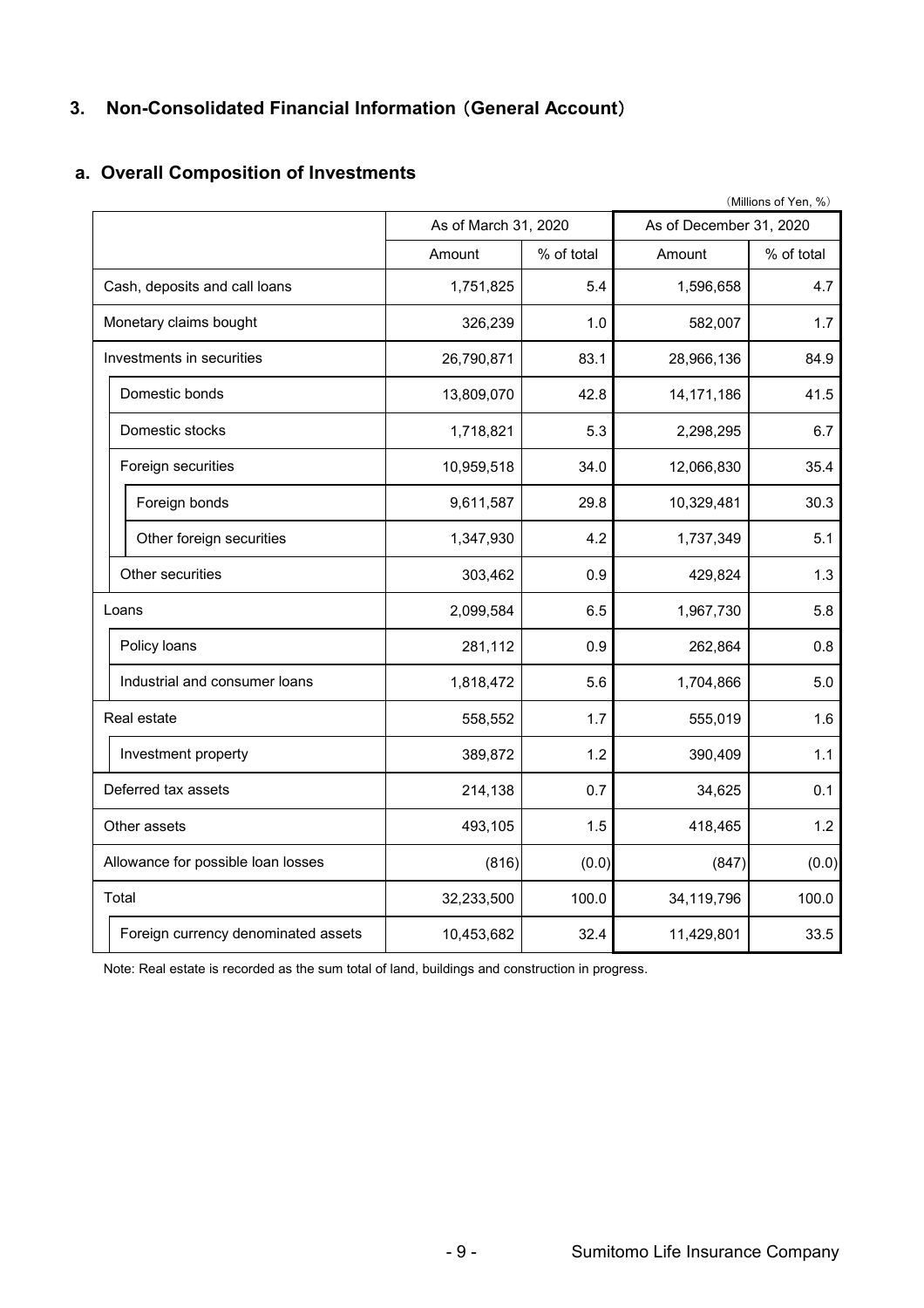## **3. Non-Consolidated Financial Information** (**General Account**)

## **a. Overall Composition of Investments**

| (Millions of Yen, %)                |                      |            |                         |            |  |  |
|-------------------------------------|----------------------|------------|-------------------------|------------|--|--|
|                                     | As of March 31, 2020 |            | As of December 31, 2020 |            |  |  |
|                                     | Amount               | % of total | Amount                  | % of total |  |  |
| Cash, deposits and call loans       | 1,751,825            | 5.4        | 1,596,658               | 4.7        |  |  |
| Monetary claims bought              | 326,239              | 1.0        | 582,007                 | 1.7        |  |  |
| Investments in securities           | 26,790,871           | 83.1       | 28,966,136              | 84.9       |  |  |
| Domestic bonds                      | 13,809,070           | 42.8       | 14, 171, 186            | 41.5       |  |  |
| Domestic stocks                     | 1,718,821            | 5.3        | 2,298,295               | 6.7        |  |  |
| Foreign securities                  | 10,959,518           | 34.0       | 12,066,830              | 35.4       |  |  |
| Foreign bonds                       | 9,611,587            | 29.8       | 10,329,481              | 30.3       |  |  |
| Other foreign securities            | 1,347,930            | 4.2        | 1,737,349               | 5.1        |  |  |
| Other securities                    | 303,462              | 0.9        | 429,824                 | 1.3        |  |  |
| Loans                               | 2,099,584            | 6.5        | 1,967,730               | 5.8        |  |  |
| Policy loans                        | 281,112              | 0.9        | 262,864                 | 0.8        |  |  |
| Industrial and consumer loans       | 1,818,472            | 5.6        | 1,704,866               | 5.0        |  |  |
| Real estate                         | 558,552              | 1.7        | 555,019                 | 1.6        |  |  |
| Investment property                 | 389,872              | 1.2        | 390,409                 | 1.1        |  |  |
| Deferred tax assets                 | 214,138              | 0.7        | 34,625                  | 0.1        |  |  |
| Other assets                        | 493,105              | 1.5        | 418,465                 | 1.2        |  |  |
| Allowance for possible loan losses  | (816)                | (0.0)      | (847)                   | (0.0)      |  |  |
| Total                               | 32,233,500           | 100.0      | 34,119,796              | 100.0      |  |  |
| Foreign currency denominated assets | 10,453,682           | 32.4       | 11,429,801              | 33.5       |  |  |

Note: Real estate is recorded as the sum total of land, buildings and construction in progress.